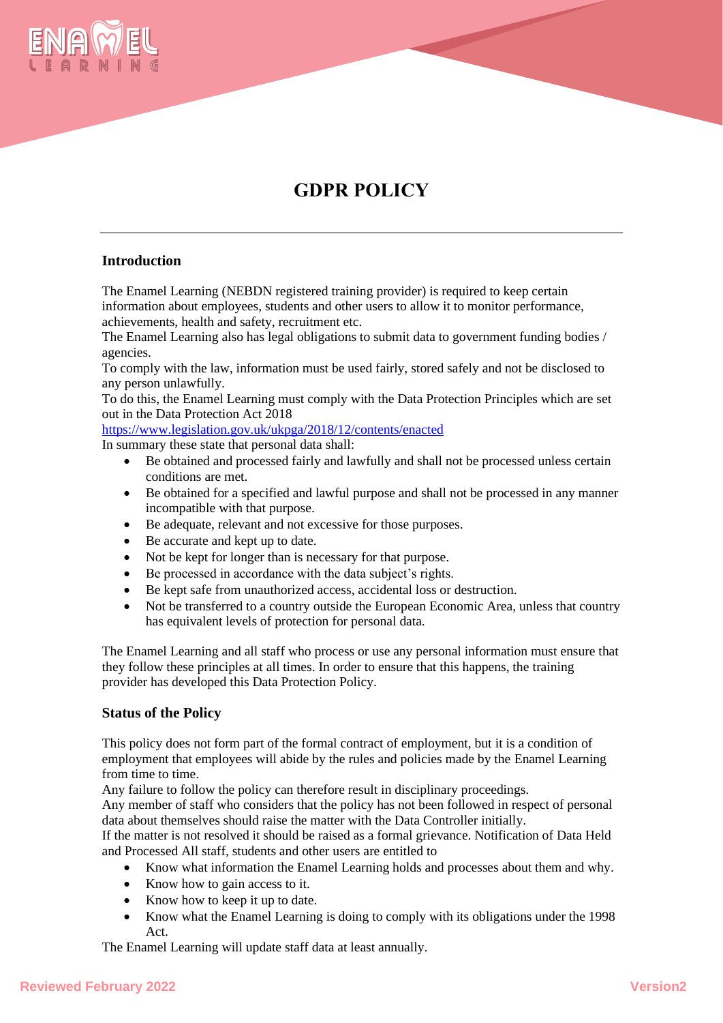

# **GDPR POLICY**

## **Introduction**

The Enamel Learning (NEBDN registered training provider) is required to keep certain information about employees, students and other users to allow it to monitor performance, achievements, health and safety, recruitment etc.

The Enamel Learning also has legal obligations to submit data to government funding bodies / agencies.

To comply with the law, information must be used fairly, stored safely and not be disclosed to any person unlawfully.

To do this, the Enamel Learning must comply with the Data Protection Principles which are set out in the Data Protection Act 2018

<https://www.legislation.gov.uk/ukpga/2018/12/contents/enacted>

In summary these state that personal data shall:

- Be obtained and processed fairly and lawfully and shall not be processed unless certain conditions are met.
- Be obtained for a specified and lawful purpose and shall not be processed in any manner incompatible with that purpose.
- Be adequate, relevant and not excessive for those purposes.
- Be accurate and kept up to date.
- Not be kept for longer than is necessary for that purpose.
- Be processed in accordance with the data subject's rights.
- Be kept safe from unauthorized access, accidental loss or destruction.
- Not be transferred to a country outside the European Economic Area, unless that country has equivalent levels of protection for personal data.

The Enamel Learning and all staff who process or use any personal information must ensure that they follow these principles at all times. In order to ensure that this happens, the training provider has developed this Data Protection Policy.

## **Status of the Policy**

This policy does not form part of the formal contract of employment, but it is a condition of employment that employees will abide by the rules and policies made by the Enamel Learning from time to time.

Any failure to follow the policy can therefore result in disciplinary proceedings.

Any member of staff who considers that the policy has not been followed in respect of personal data about themselves should raise the matter with the Data Controller initially.

If the matter is not resolved it should be raised as a formal grievance. Notification of Data Held and Processed All staff, students and other users are entitled to

- Know what information the Enamel Learning holds and processes about them and why.
- Know how to gain access to it.
- Know how to keep it up to date.
- Know what the Enamel Learning is doing to comply with its obligations under the 1998 Act.

The Enamel Learning will update staff data at least annually.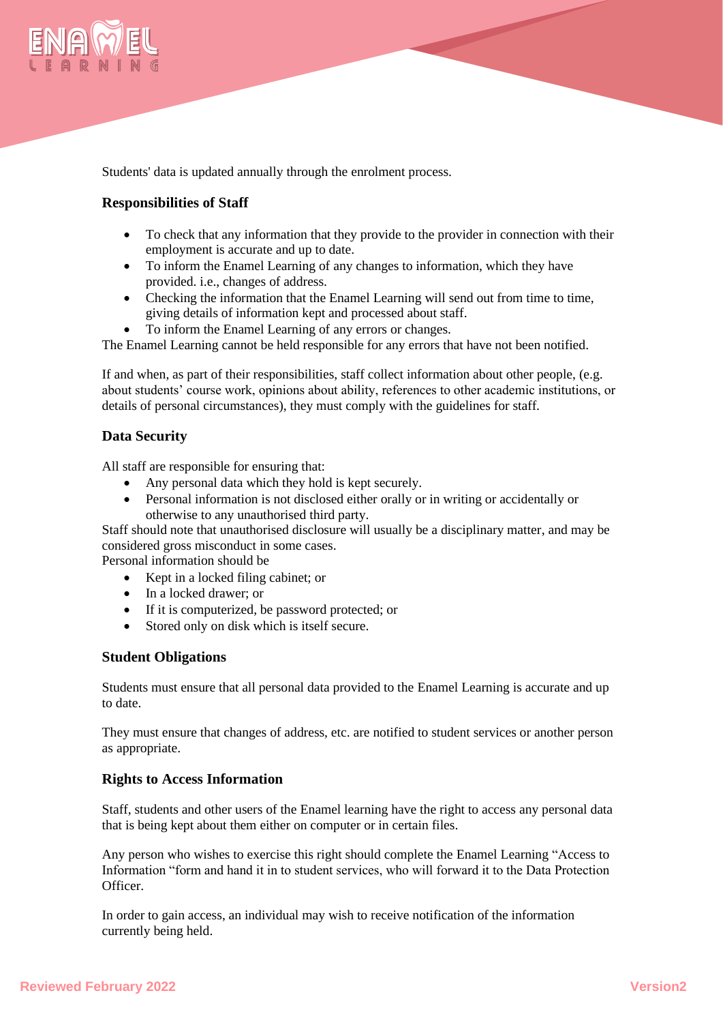

Students' data is updated annually through the enrolment process.

# **Responsibilities of Staff**

- To check that any information that they provide to the provider in connection with their employment is accurate and up to date.
- To inform the Enamel Learning of any changes to information, which they have provided. i.e., changes of address.
- Checking the information that the Enamel Learning will send out from time to time, giving details of information kept and processed about staff.
- To inform the Enamel Learning of any errors or changes.

The Enamel Learning cannot be held responsible for any errors that have not been notified.

If and when, as part of their responsibilities, staff collect information about other people, (e.g. about students' course work, opinions about ability, references to other academic institutions, or details of personal circumstances), they must comply with the guidelines for staff.

## **Data Security**

All staff are responsible for ensuring that:

- Any personal data which they hold is kept securely.
- Personal information is not disclosed either orally or in writing or accidentally or otherwise to any unauthorised third party.

Staff should note that unauthorised disclosure will usually be a disciplinary matter, and may be considered gross misconduct in some cases.

Personal information should be

- Kept in a locked filing cabinet; or
- In a locked drawer; or
- If it is computerized, be password protected; or
- Stored only on disk which is itself secure.

## **Student Obligations**

Students must ensure that all personal data provided to the Enamel Learning is accurate and up to date.

They must ensure that changes of address, etc. are notified to student services or another person as appropriate.

## **Rights to Access Information**

Staff, students and other users of the Enamel learning have the right to access any personal data that is being kept about them either on computer or in certain files.

Any person who wishes to exercise this right should complete the Enamel Learning "Access to Information "form and hand it in to student services, who will forward it to the Data Protection **Officer** 

In order to gain access, an individual may wish to receive notification of the information currently being held.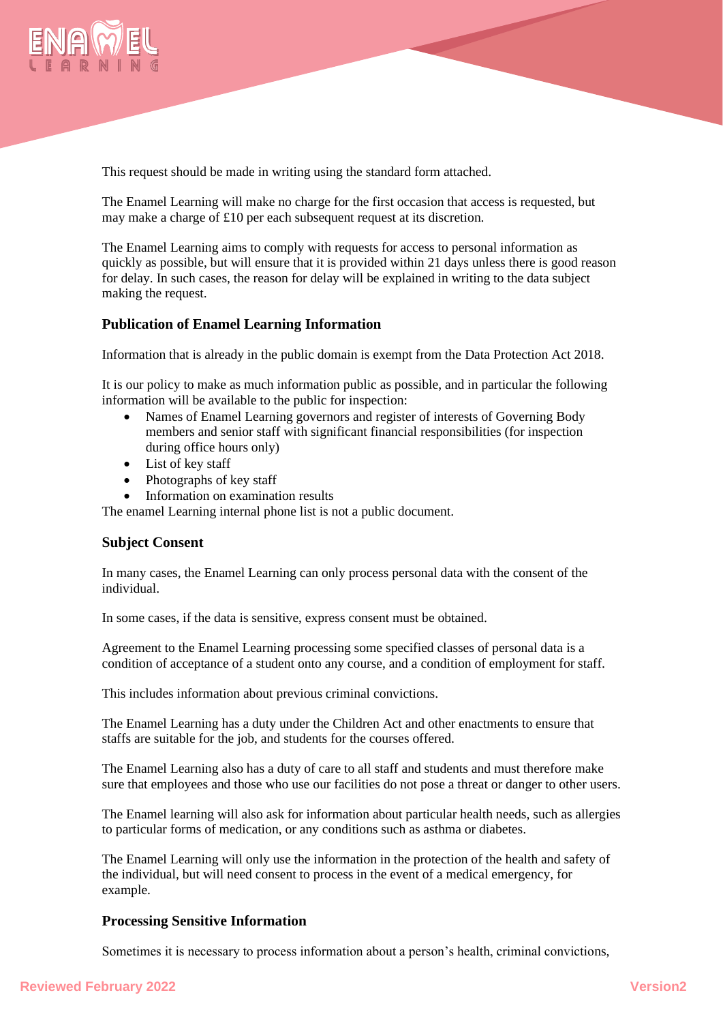

This request should be made in writing using the standard form attached.

The Enamel Learning will make no charge for the first occasion that access is requested, but may make a charge of £10 per each subsequent request at its discretion.

The Enamel Learning aims to comply with requests for access to personal information as quickly as possible, but will ensure that it is provided within 21 days unless there is good reason for delay. In such cases, the reason for delay will be explained in writing to the data subject making the request.

# **Publication of Enamel Learning Information**

Information that is already in the public domain is exempt from the Data Protection Act 2018.

It is our policy to make as much information public as possible, and in particular the following information will be available to the public for inspection:

- Names of Enamel Learning governors and register of interests of Governing Body members and senior staff with significant financial responsibilities (for inspection during office hours only)
- List of key staff
- Photographs of key staff
- Information on examination results

The enamel Learning internal phone list is not a public document.

## **Subject Consent**

In many cases, the Enamel Learning can only process personal data with the consent of the individual.

In some cases, if the data is sensitive, express consent must be obtained.

Agreement to the Enamel Learning processing some specified classes of personal data is a condition of acceptance of a student onto any course, and a condition of employment for staff.

This includes information about previous criminal convictions.

The Enamel Learning has a duty under the Children Act and other enactments to ensure that staffs are suitable for the job, and students for the courses offered.

The Enamel Learning also has a duty of care to all staff and students and must therefore make sure that employees and those who use our facilities do not pose a threat or danger to other users.

The Enamel learning will also ask for information about particular health needs, such as allergies to particular forms of medication, or any conditions such as asthma or diabetes.

The Enamel Learning will only use the information in the protection of the health and safety of the individual, but will need consent to process in the event of a medical emergency, for example.

## **Processing Sensitive Information**

Sometimes it is necessary to process information about a person's health, criminal convictions,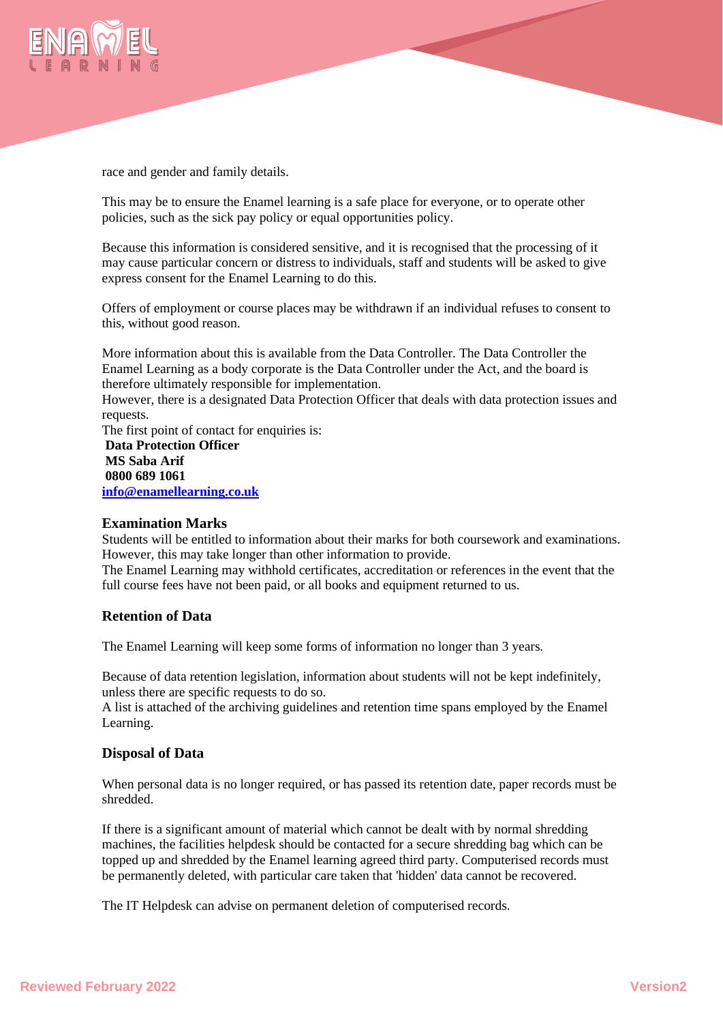

race and gender and family details.

This may be to ensure the Enamel learning is a safe place for everyone, or to operate other policies, such as the sick pay policy or equal opportunities policy.

Because this information is considered sensitive, and it is recognised that the processing of it may cause particular concern or distress to individuals, staff and students will be asked to give express consent for the Enamel Learning to do this.

Offers of employment or course places may be withdrawn if an individual refuses to consent to this, without good reason.

More information about this is available from the Data Controller. The Data Controller the Enamel Learning as a body corporate is the Data Controller under the Act, and the board is therefore ultimately responsible for implementation.

However, there is a designated Data Protection Officer that deals with data protection issues and requests.

The first point of contact for enquiries is: **Data Protection Officer MS Saba Arif 0800 689 1061 [info@enamellearning.co.uk](mailto:info@enamellearning.co.uk)**

## **Examination Marks**

Students will be entitled to information about their marks for both coursework and examinations. However, this may take longer than other information to provide.

The Enamel Learning may withhold certificates, accreditation or references in the event that the full course fees have not been paid, or all books and equipment returned to us.

## **Retention of Data**

The Enamel Learning will keep some forms of information no longer than 3 years.

Because of data retention legislation, information about students will not be kept indefinitely, unless there are specific requests to do so.

A list is attached of the archiving guidelines and retention time spans employed by the Enamel Learning.

## **Disposal of Data**

When personal data is no longer required, or has passed its retention date, paper records must be shredded.

If there is a significant amount of material which cannot be dealt with by normal shredding machines, the facilities helpdesk should be contacted for a secure shredding bag which can be topped up and shredded by the Enamel learning agreed third party. Computerised records must be permanently deleted, with particular care taken that 'hidden' data cannot be recovered.

The IT Helpdesk can advise on permanent deletion of computerised records.